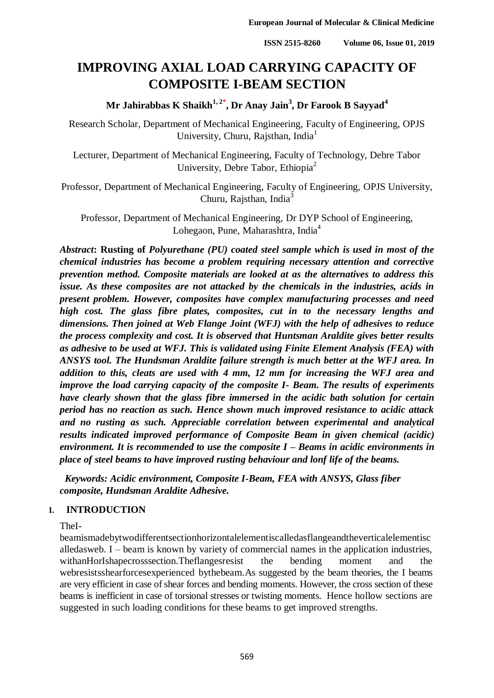# **IMPROVING AXIAL LOAD CARRYING CAPACITY OF COMPOSITE I-BEAM SECTION**

# **Mr Jahirabbas K Shaikh1, 2\* , Dr Anay Jain<sup>3</sup> , Dr Farook B Sayyad<sup>4</sup>**

Research Scholar, Department of Mechanical Engineering, Faculty of Engineering, OPJS University, Churu, Rajsthan, India<sup>1</sup>

Lecturer, Department of Mechanical Engineering, Faculty of Technology, Debre Tabor University, Debre Tabor, Ethiopia<sup>2</sup>

Professor, Department of Mechanical Engineering, Faculty of Engineering, OPJS University, Churu, Raisthan, India $3$ 

Professor, Department of Mechanical Engineering, Dr DYP School of Engineering, Lohegaon, Pune, Maharashtra, India<sup>4</sup>

*Abstract***: Rusting of** *Polyurethane (PU) coated steel sample which is used in most of the chemical industries has become a problem requiring necessary attention and corrective prevention method. Composite materials are looked at as the alternatives to address this issue. As these composites are not attacked by the chemicals in the industries, acids in present problem. However, composites have complex manufacturing processes and need high cost. The glass fibre plates, composites, cut in to the necessary lengths and dimensions. Then joined at Web Flange Joint (WFJ) with the help of adhesives to reduce the process complexity and cost. It is observed that Huntsman Araldite gives better results as adhesive to be used at WFJ. This is validated using Finite Element Analysis (FEA) with ANSYS tool. The Hundsman Araldite failure strength is much better at the WFJ area. In addition to this, cleats are used with 4 mm, 12 mm for increasing the WFJ area and improve the load carrying capacity of the composite I- Beam. The results of experiments have clearly shown that the glass fibre immersed in the acidic bath solution for certain period has no reaction as such. Hence shown much improved resistance to acidic attack and no rusting as such. Appreciable correlation between experimental and analytical results indicated improved performance of Composite Beam in given chemical (acidic) environment. It is recommended to use the composite I – Beams in acidic environments in place of steel beams to have improved rusting behaviour and lonf life of the beams.*

 *Keywords: Acidic environment, Composite I-Beam, FEA with ANSYS, Glass fiber composite, Hundsman Araldite Adhesive.*

#### **I. INTRODUCTION**

TheI-

beamismadebytwodifferentsectionhorizontalelementiscalledasflangeandtheverticalelementisc alledasweb. I – beam is known by variety of commercial names in the application industries, withanHorIshapecrosssection.Theflangesresist the bending moment and the webresistsshearforcesexperienced bythebeam.As suggested by the beam theories, the I beams are very efficient in case of shear forces and bending moments. However, the cross section of these beams is inefficient in case of torsional stresses or twisting moments. Hence hollow sections are suggested in such loading conditions for these beams to get improved strengths.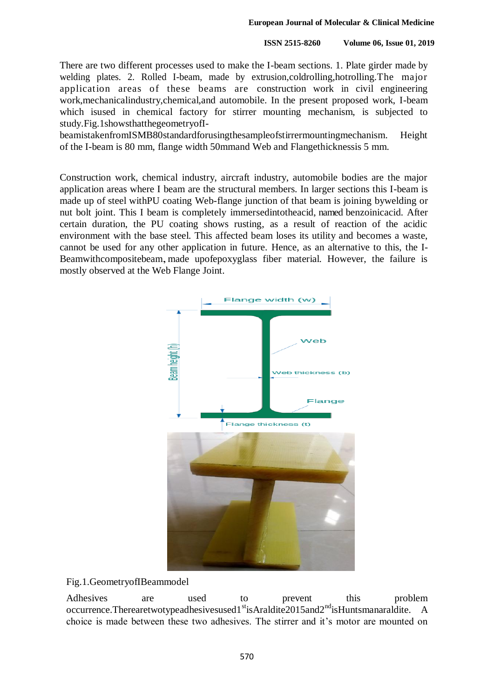There are two different processes used to make the I-beam sections. 1. Plate girder made by welding plates. 2. Rolled I-beam, made by extrusion,coldrolling,hotrolling.The major application areas of these beams are construction work in civil engineering work,mechanicalindustry,chemical,and automobile. In the present proposed work, I-beam which is used in chemical factory for stirrer mounting mechanism, is subjected to study.Fig.1showsthatthegeometryofI-

beamistakenfromISMB80standardforusingthesampleofstirrermountingmechanism. Height of the I-beam is 80 mm, flange width 50mmand Web and Flangethicknessis 5 mm.

Construction work, chemical industry, aircraft industry, automobile bodies are the major application areas where I beam are the structural members. In larger sections this I-beam is made up of steel withPU coating Web-flange junction of that beam is joining bywelding or nut bolt joint. This I beam is completely immersedintotheacid, named benzoinicacid. After certain duration, the PU coating shows rusting, as a result of reaction of the acidic environment with the base steel. This affected beam loses its utility and becomes a waste, cannot be used for any other application in future. Hence, as an alternative to this, the I-Beamwithcompositebeam., made upofepoxyglass fiber material. However, the failure is mostly observed at the Web Flange Joint.



Fig.1.GeometryofIBeammodel

Adhesives are used to prevent this problem occurrence.Therearetwotypeadhesivesused1<sup>st</sup>isAraldite2015and2<sup>nd</sup>isHuntsmanaraldite. A choice is made between these two adhesives. The stirrer and it's motor are mounted on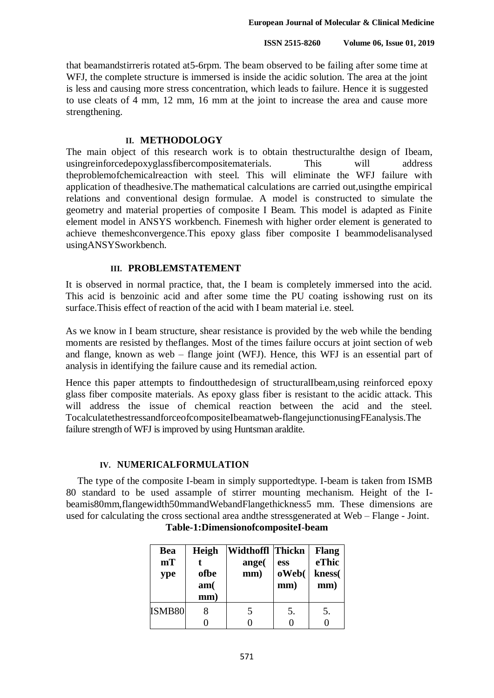that beamandstirreris rotated at5-6rpm. The beam observed to be failing after some time at WFJ, the complete structure is immersed is inside the acidic solution. The area at the joint is less and causing more stress concentration, which leads to failure. Hence it is suggested to use cleats of 4 mm, 12 mm, 16 mm at the joint to increase the area and cause more strengthening.

#### **II. METHODOLOGY**

The main object of this research work is to obtain thestructuralthe design of Ibeam, usingreinforcedepoxyglassfibercompositematerials. This will address theproblemofchemicalreaction with steel. This will eliminate the WFJ failure with application of theadhesive.The mathematical calculations are carried out,usingthe empirical relations and conventional design formulae. A model is constructed to simulate the geometry and material properties of composite I Beam. This model is adapted as Finite element model in ANSYS workbench. Finemesh with higher order element is generated to achieve themeshconvergence.This epoxy glass fiber composite I beammodelisanalysed usingANSYSworkbench.

#### **III. PROBLEMSTATEMENT**

It is observed in normal practice, that, the I beam is completely immersed into the acid. This acid is benzoinic acid and after some time the PU coating isshowing rust on its surface.Thisis effect of reaction of the acid with I beam material i.e. steel.

As we know in I beam structure, shear resistance is provided by the web while the bending moments are resisted by theflanges. Most of the times failure occurs at joint section of web and flange, known as web – flange joint (WFJ). Hence, this WFJ is an essential part of analysis in identifying the failure cause and its remedial action.

Hence this paper attempts to findoutthedesign of structuralIbeam,using reinforced epoxy glass fiber composite materials. As epoxy glass fiber is resistant to the acidic attack. This will address the issue of chemical reaction between the acid and the steel. TocalculatethestressandforceofcompositeIbeamatweb-flangejunctionusingFEanalysis.The failure strength of WFJ is improved by using Huntsman araldite.

#### **IV. NUMERICALFORMULATION**

The type of the composite I-beam in simply supportedtype. I-beam is taken from ISMB 80 standard to be used assample of stirrer mounting mechanism. Height of the Ibeamis80mm,flangewidth50mmandWebandFlangethickness5 mm. These dimensions are used for calculating the cross sectional area andthe stressgenerated at Web – Flange - Joint.

| <b>Bea</b> | Heigh | Widthoffl Thickn |       | <b>Flang</b> |
|------------|-------|------------------|-------|--------------|
| mT         |       | ange(            | ess   | eThic        |
| ype        | ofbe  | mm)              | oWeb( | kness(       |
|            | am(   |                  | mm)   | mm)          |
|            | mm)   |                  |       |              |
| ISMB80     |       |                  | 5.    | 5.           |
|            |       |                  |       |              |

**Table-1:DimensionofcompositeI-beam**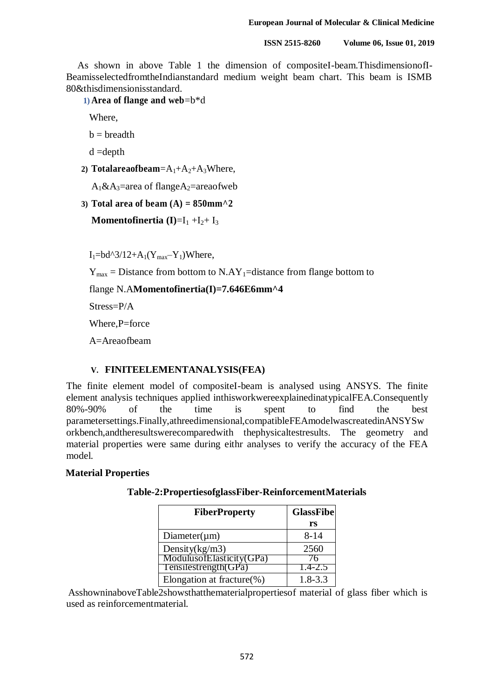As shown in above Table 1 the dimension of compositeI-beam.ThisdimensionofI-BeamisselectedfromtheIndianstandard medium weight beam chart. This beam is ISMB 80&thisdimensionisstandard.

**1) Area of flange and web**=b\*d

Where,

 $b = b$ readth

- d =depth
- 2) **Totalareaofbeam**= $A_1+A_2+A_3$ Where,

 $A_1\&A_3$ =area of flange $A_2$ =areaofweb

**3) Total area of beam (A) = 850mm^2**

**Momentofinertia** (I)= $I_1 + I_2 + I_3$ 

 $I_1 = bd^{3/12} + A_1(Y_{max} - Y_1)$ Where,

 $Y_{\text{max}}$  = Distance from bottom to N.AY<sub>1</sub>=distance from flange bottom to

flange N.A**Momentofinertia(I)=7.646E6mm^4**

Stress=P/A

Where, P=force

A=Areaofbeam

#### **V. FINITEELEMENTANALYSIS(FEA)**

The finite element model of compositeI-beam is analysed using ANSYS. The finite element analysis techniques applied inthisworkwereexplainedinatypicalFEA.Consequently 80%-90% of the time is spent to find the best parametersettings.Finally,athreedimensional,compatibleFEAmodelwascreatedinANSYSw orkbench,andtheresultswerecomparedwith thephysicaltestresults. The geometry and material properties were same during eithr analyses to verify the accuracy of the FEA model.

#### **Material Properties**

| <b>FiberProperty</b>          | <b>GlassFibe</b> |
|-------------------------------|------------------|
|                               | rs               |
| $Diameter(\mu m)$             | $8 - 14$         |
| Density $(kg/m3)$             | 2560             |
| ModulusofElasticity(GPa)      | 'n               |
| Tensilestrength(GPa)          | $1.4 - 2.5$      |
| Elongation at fracture $(\%)$ | $1.8 - 3.3$      |

**Table-2:PropertiesofglassFiber-ReinforcementMaterials**

AsshowninaboveTable2showsthatthematerialpropertiesof material of glass fiber which is used as reinforcementmaterial.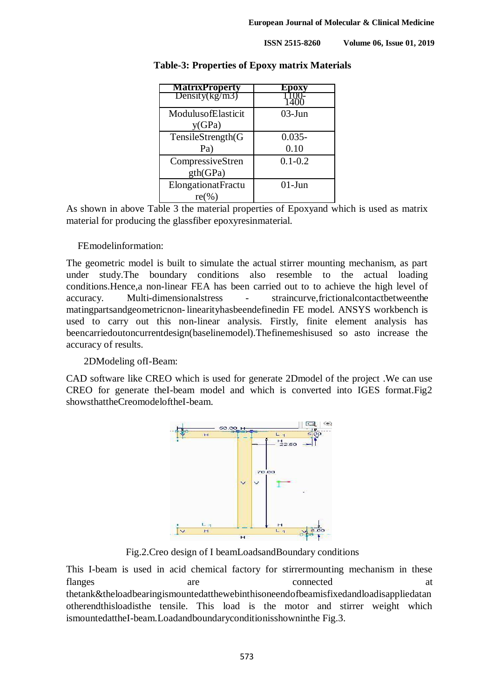| <b>MatrixProperty</b>   | poxy<br>Eл  |
|-------------------------|-------------|
| $Density(\text{kg/m3})$ |             |
| ModulusofElasticit      | $03$ -Jun   |
| y(GPa)                  |             |
| TensileStrength(G       | $0.035 -$   |
| Pa)                     | 0.10        |
| CompressiveStren        | $0.1 - 0.2$ |
| gth(GPa)                |             |
| ElongationatFractu      | $01-J$ un   |
| $re(\%)$                |             |

#### **Table-3: Properties of Epoxy matrix Materials**

As shown in above Table 3 the material properties of Epoxyand which is used as matrix material for producing the glassfiber epoxyresinmaterial.

#### FEmodelinformation:

The geometric model is built to simulate the actual stirrer mounting mechanism, as part under study.The boundary conditions also resemble to the actual loading conditions.Hence,a non-linear FEA has been carried out to to achieve the high level of accuracy. Multi-dimensionalstress - straincurve,frictionalcontactbetweenthe matingpartsandgeometricnon- linearityhasbeendefinedin FE model. ANSYS workbench is used to carry out this non-linear analysis. Firstly, finite element analysis has beencarriedoutoncurrentdesign(baselinemodel).Thefinemeshisused so asto increase the accuracy of results.

#### 2DModeling ofI-Beam:

CAD software like CREO which is used for generate 2Dmodel of the project .We can use CREO for generate theI-beam model and which is converted into IGES format.Fig2 showsthattheCreomodeloftheI-beam.



Fig.2.Creo design of I beamLoadsandBoundary conditions

This I-beam is used in acid chemical factory for stirrermounting mechanism in these flanges are are connected at thetank&theloadbearingismountedatthewebinthisoneendofbeamisfixedandloadisappliedatan otherendthisloadisthe tensile. This load is the motor and stirrer weight which ismountedattheI-beam.Loadandboundaryconditionisshowninthe Fig.3.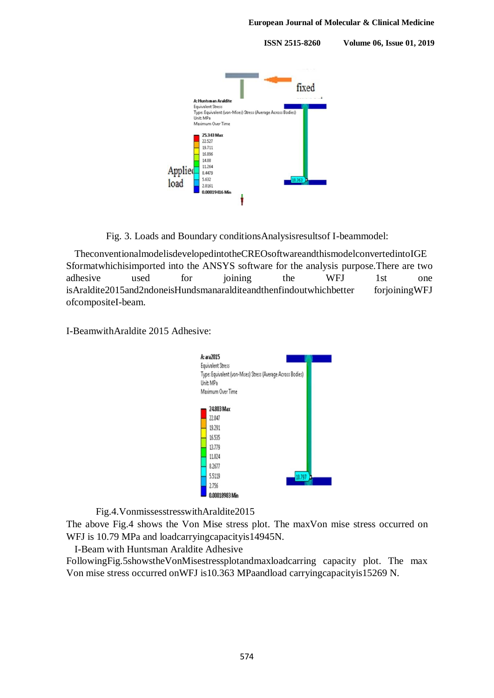

Fig. 3. Loads and Boundary conditionsAnalysisresultsof I-beammodel:

TheconventionalmodelisdevelopedintotheCREOsoftwareandthismodelconvertedintoIGE Sformatwhichisimported into the ANSYS software for the analysis purpose.There are two adhesive used for joining the WFJ 1st one isAraldite2015and2ndoneisHundsmanaralditeandthenfindoutwhichbetter forjoiningWFJ ofcompositeI-beam.

I-BeamwithAraldite 2015 Adhesive:



Fig.4.VonmissesstresswithAraldite2015

The above Fig.4 shows the Von Mise stress plot. The maxVon mise stress occurred on WFJ is 10.79 MPa and loadcarryingcapacityis14945N.

I-Beam with Huntsman Araldite Adhesive

FollowingFig.5showstheVonMisestressplotandmaxloadcarring capacity plot. The max Von mise stress occurred onWFJ is10.363 MPaandload carryingcapacityis15269 N.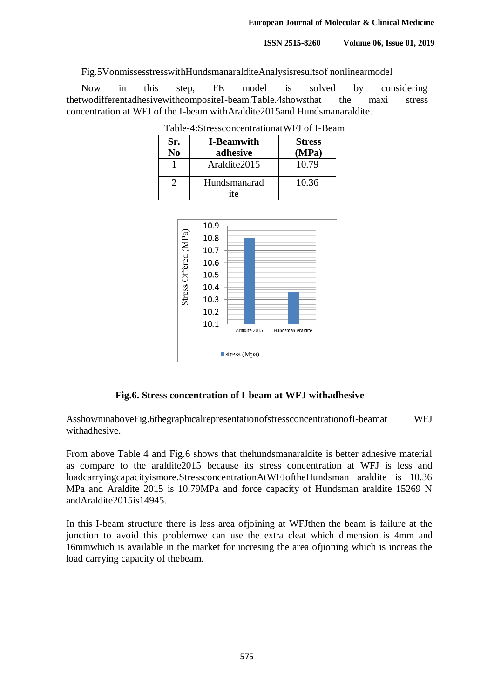Fig.5VonmissesstresswithHundsmanaralditeAnalysisresultsof nonlinearmodel

Now in this step, FE model is solved by considering thetwodifferentadhesivewithcompositeI-beam.Table.4showsthat the maxi stress concentration at WFJ of the I-beam withAraldite2015and Hundsmanaraldite.

| Sr.<br>No | <b>I-Beamwith</b><br>adhesive | <b>Stress</b><br>(MPa) |
|-----------|-------------------------------|------------------------|
|           | Araldite2015                  | 10.79                  |
|           | Hundsmanarad                  | 10.36                  |
|           | ite                           |                        |

Table-4:StressconcentrationatWFJ of I-Beam



#### **Fig.6. Stress concentration of I-beam at WFJ withadhesive**

AsshowninaboveFig.6thegraphicalrepresentationofstressconcentrationofI-beamat WFJ withadhesive.

From above Table 4 and Fig.6 shows that thehundsmanaraldite is better adhesive material as compare to the araldite2015 because its stress concentration at WFJ is less and loadcarryingcapacityismore.StressconcentrationAtWFJoftheHundsman araldite is 10.36 MPa and Araldite 2015 is 10.79MPa and force capacity of Hundsman araldite 15269 N andAraldite2015is14945.

In this I-beam structure there is less area ofjoining at WFJthen the beam is failure at the junction to avoid this problemwe can use the extra cleat which dimension is 4mm and 16mmwhich is available in the market for incresing the area ofjioning which is increas the load carrying capacity of thebeam.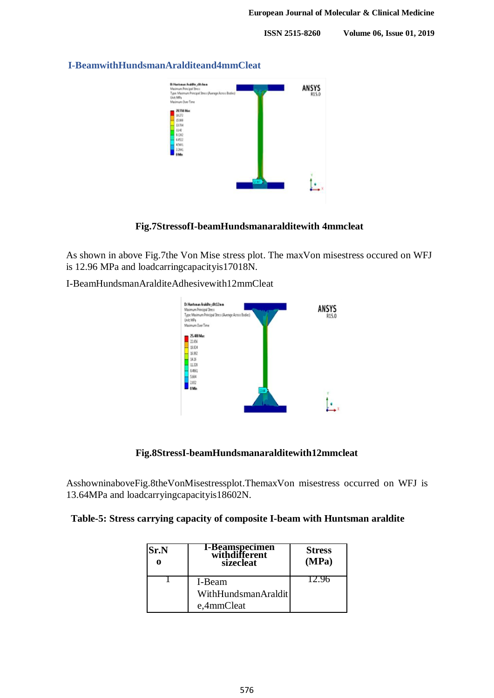

#### **I-BeamwithHundsmanAralditeand4mmCleat**

#### **Fig.7StressofI-beamHundsmanaralditewith 4mmcleat**

As shown in above Fig.7the Von Mise stress plot. The maxVon misestress occured on WFJ is 12.96 MPa and loadcarringcapacityis17018N.

I-BeamHundsmanAralditeAdhesivewith12mmCleat



#### **Fig.8StressI-beamHundsmanaralditewith12mmcleat**

AsshowninaboveFig.8theVonMisestressplot.ThemaxVon misestress occurred on WFJ is 13.64MPa and loadcarryingcapacityis18602N.

|  |  |  |  |  | Table-5: Stress carrying capacity of composite I-beam with Huntsman araldite |  |
|--|--|--|--|--|------------------------------------------------------------------------------|--|
|  |  |  |  |  |                                                                              |  |

| <b>Sr.N</b> | <b>I-Beamspecimen</b><br>withdifferent<br>sizecleat | <b>Stress</b><br>(MPa) |
|-------------|-----------------------------------------------------|------------------------|
|             | I-Beam                                              | l 7. yn                |
|             | WithHundsmanAraldit                                 |                        |
|             | e,4mmCleat                                          |                        |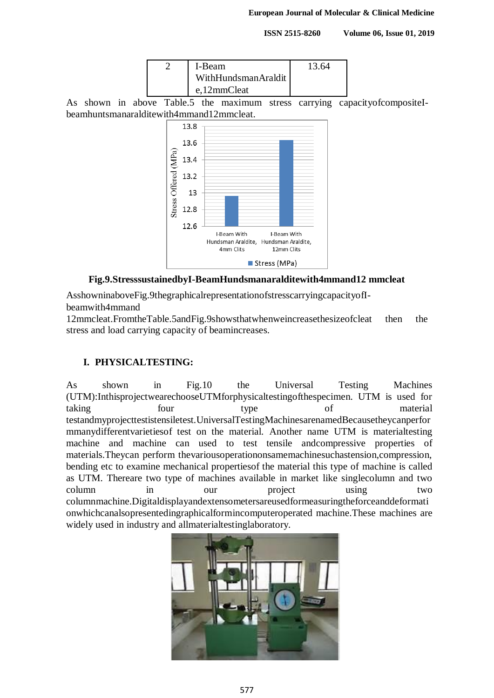

As shown in above Table.5 the maximum stress carrying capacityofcompositeIbeamhuntsmanaralditewith4mmand12mmcleat.



#### **Fig.9.StresssustainedbyI-BeamHundsmanaralditewith4mmand12 mmcleat**

AsshowninaboveFig.9thegraphicalrepresentationofstresscarryingcapacityofIbeamwith4mmand

12mmcleat.FromtheTable.5andFig.9showsthatwhenweincreasethesizeofcleat then the stress and load carrying capacity of beamincreases.

#### **I. PHYSICALTESTING:**

As shown in Fig.10 the Universal Testing Machines (UTM):InthisprojectwearechooseUTMforphysicaltestingofthespecimen. UTM is used for taking four type of material testandmyprojecttestistensiletest.UniversalTestingMachinesarenamedBecausetheycanperfor mmanydifferentvarietiesof test on the material. Another name UTM is materialtesting machine and machine can used to test tensile andcompressive properties of materials.Theycan perform thevariousoperationonsamemachinesuchastension,compression, bending etc to examine mechanical propertiesof the material this type of machine is called as UTM. Thereare two type of machines available in market like singlecolumn and two column in our project using two columnmachine.Digitaldisplayandextensometersareusedformeasuringtheforceanddeformati onwhichcanalsopresentedingraphicalformincomputeroperated machine.These machines are widely used in industry and allmaterialtestinglaboratory.

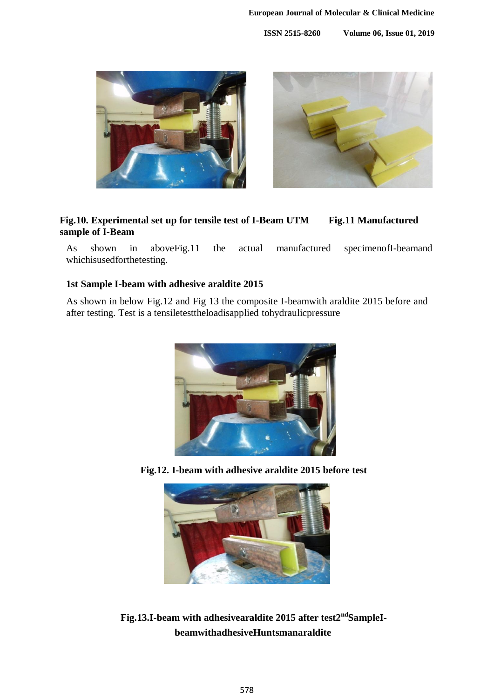

#### **Fig.10. Experimental set up for tensile test of I-Beam UTM Fig.11 Manufactured sample of I-Beam**

As shown in aboveFig.11 the actual manufactured specimenofI-beamand whichisusedforthetesting.

#### **1st Sample I-beam with adhesive araldite 2015**

As shown in below Fig.12 and Fig 13 the composite I-beamwith araldite 2015 before and after testing. Test is a tensiletesttheloadisapplied tohydraulicpressure



**Fig.12. I-beam with adhesive araldite 2015 before test**



**Fig.13.I-beam with adhesivearaldite 2015 after test2ndSampleIbeamwithadhesiveHuntsmanaraldite**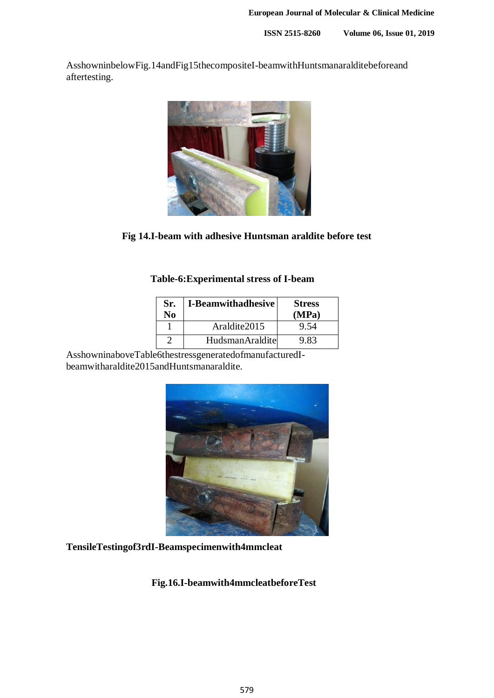AsshowninbelowFig.14andFig15thecompositeI-beamwithHuntsmanaralditebeforeand aftertesting.



**Fig 14.I-beam with adhesive Huntsman araldite before test**

# **Table-6:Experimental stress of I-beam**

| Sr.<br>No | <b>I-Beamwithadhesive</b> | <b>Stress</b><br>(MPa) |
|-----------|---------------------------|------------------------|
|           | Araldite2015              | 9.54                   |
|           | <b>HudsmanAraldite</b>    | 9.83                   |

AsshowninaboveTable6thestressgeneratedofmanufacturedIbeamwitharaldite2015andHuntsmanaraldite.



# **TensileTestingof3rdI-Beamspecimenwith4mmcleat**

#### **Fig.16.I-beamwith4mmcleatbeforeTest**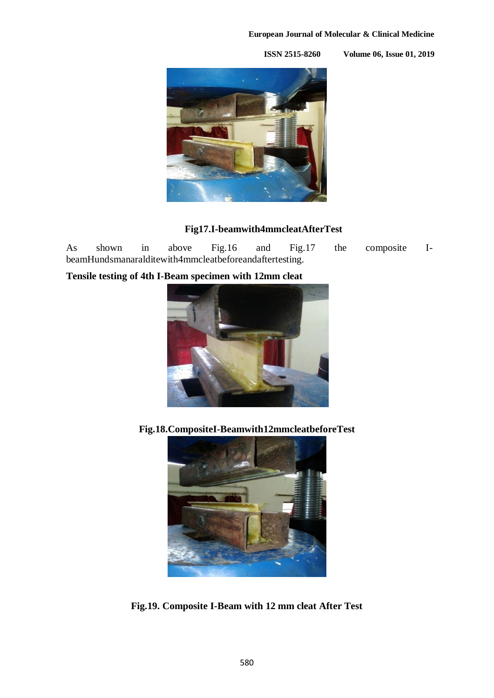#### **European Journal of Molecular & Clinical Medicine**

**ISSN 2515-8260 Volume 06, Issue 01, 2019**



# **Fig17.I-beamwith4mmcleatAfterTest**

As shown in above Fig.16 and Fig.17 the composite IbeamHundsmanaralditewith4mmcleatbeforeandaftertesting.

**Tensile testing of 4th I-Beam specimen with 12mm cleat**



**Fig.18.CompositeI-Beamwith12mmcleatbeforeTest**



**Fig.19. Composite I-Beam with 12 mm cleat After Test**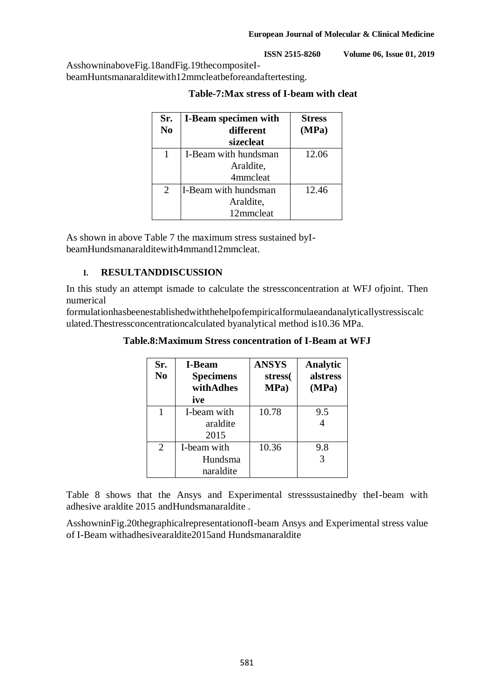AsshowninaboveFig.18andFig.19thecompositeIbeamHuntsmanaralditewith12mmcleatbeforeandaftertesting.

| Sr.<br>N <sub>0</sub>       | <b>I-Beam specimen with</b><br>different<br>sizecleat | <b>Stress</b><br>(MPa) |
|-----------------------------|-------------------------------------------------------|------------------------|
| 1                           | I-Beam with hundsman                                  | 12.06                  |
|                             | Araldite,                                             |                        |
|                             | 4mmcleat                                              |                        |
| $\mathcal{D}_{\mathcal{L}}$ | I-Beam with hundsman                                  | 12.46                  |
|                             | Araldite,                                             |                        |
|                             | 12mmcleat                                             |                        |

### **Table-7:Max stress of I-beam with cleat**

As shown in above Table 7 the maximum stress sustained byIbeamHundsmanaralditewith4mmand12mmcleat.

## **I. RESULTANDDISCUSSION**

In this study an attempt ismade to calculate the stressconcentration at WFJ ofjoint. Then numerical

formulationhasbeenestablishedwiththehelpofempiricalformulaeandanalyticallystressiscalc ulated.Thestressconcentrationcalculated byanalytical method is10.36 MPa.

| Sr.<br>N <sub>0</sub> | <b>I-Beam</b><br><b>Specimens</b><br>withAdhes<br>ive | <b>ANSYS</b><br>stress(<br>MPa) | Analytic<br>alstress<br>(MPa) |
|-----------------------|-------------------------------------------------------|---------------------------------|-------------------------------|
| 1                     | I-beam with<br>araldite<br>2015                       | 10.78                           | 9.5<br>4                      |
| 2                     | I-beam with<br>Hundsma<br>naraldite                   | 10.36                           | 9.8<br>3                      |

**Table.8:Maximum Stress concentration of I-Beam at WFJ**

Table 8 shows that the Ansys and Experimental stresssustainedby theI-beam with adhesive araldite 2015 andHundsmanaraldite .

AsshowninFig.20thegraphicalrepresentationofI-beam Ansys and Experimental stress value of I-Beam withadhesivearaldite2015and Hundsmanaraldite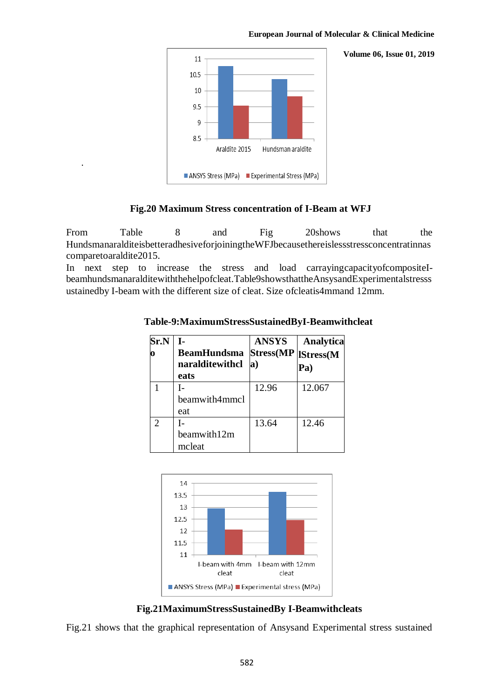#### **European Journal of Molecular & Clinical Medicine**

**Volume 06, Issue 01, 2019** 



.

#### **Fig.20 Maximum Stress concentration of I-Beam at WFJ**

From Table 8 and Fig 20shows that the HundsmanaralditeisbetteradhesiveforjoiningtheWFJbecausethereislessstressconcentratinnas comparetoaraldite2015.

In next step to increase the stress and load carrayingcapacityofcompositeIbeamhundsmanaralditewiththehelpofcleat.Table9showsthattheAnsysandExperimentalstresss ustainedby I-beam with the different size of cleat. Size ofcleatis4mmand 12mm.

| Sr.N | L.<br><b>BeamHundsma</b><br>naralditewithcl<br>eats | <b>ANSYS</b><br><b>Stress</b> (MP<br>$\bf{a}$ | <b>Analytica</b><br>IStress(M<br>Pa) |
|------|-----------------------------------------------------|-----------------------------------------------|--------------------------------------|
|      | beamwith4mmcl<br>eat                                | 12.96                                         | 12.067                               |
|      | I-<br>beamwith12m<br>mcleat                         | 13.64                                         | 12.46                                |

**Table-9:MaximumStressSustainedByI-Beamwithcleat**



**Fig.21MaximumStressSustainedBy I-Beamwithcleats**

Fig.21 shows that the graphical representation of Ansysand Experimental stress sustained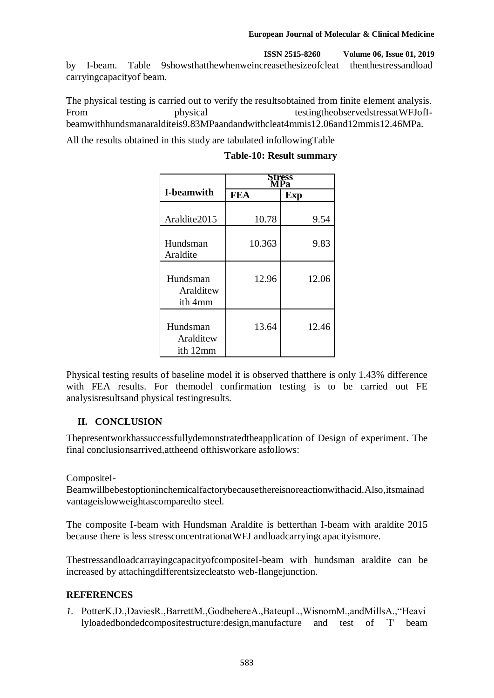#### **European Journal of Molecular & Clinical Medicine**

**ISSN 2515-8260 Volume 06, Issue 01, 2019**

by I-beam. Table 9showsthatthewhenweincreasethesizeofcleat thenthestressandload carryingcapacityof beam.

The physical testing is carried out to verify the resultsobtained from finite element analysis. From physical testingtheobservedstressatWFJofIbeamwithhundsmanaralditeis9.83MPaandandwithcleat4mmis12.06and12mmis12.46MPa.

All the results obtained in this study are tabulated infollowingTable

|                                   | ess.       |            |  |
|-----------------------------------|------------|------------|--|
| <b>I-beamwith</b>                 | <b>FEA</b> | <b>Exp</b> |  |
| Araldite2015                      | 10.78      | 9.54       |  |
| Hundsman<br>Araldite              | 10.363     | 9.83       |  |
| Hundsman<br>Aralditew<br>ith 4mm  | 12.96      | 12.06      |  |
| Hundsman<br>Aralditew<br>ith 12mm | 13.64      | 12.46      |  |

#### **Table-10: Result summary**

Physical testing results of baseline model it is observed thatthere is only 1.43% difference with FEA results. For themodel confirmation testing is to be carried out FE analysisresultsand physical testingresults.

## **II. CONCLUSION**

Thepresentworkhassuccessfullydemonstratedtheapplication of Design of experiment. The final conclusionsarrived,attheend ofthisworkare asfollows:

CompositeI-

Beamwillbebestoptioninchemicalfactorybecausethereisnoreactionwithacid.Also,itsmainad vantageislowweightascomparedto steel.

The composite I-beam with Hundsman Araldite is betterthan I-beam with araldite 2015 because there is less stressconcentrationatWFJ andloadcarryingcapacityismore.

ThestressandloadcarrayingcapacityofcompositeI-beam with hundsman araldite can be increased by attachingdifferentsizecleatsto web-flangejunction.

## **REFERENCES**

*1.* PotterK.D.,DaviesR.,BarrettM.,GodbehereA.,BateupL.,WisnomM.,andMillsA.,"Heavi lyloadedbondedcompositestructure:design,manufacture and test of `I' beam